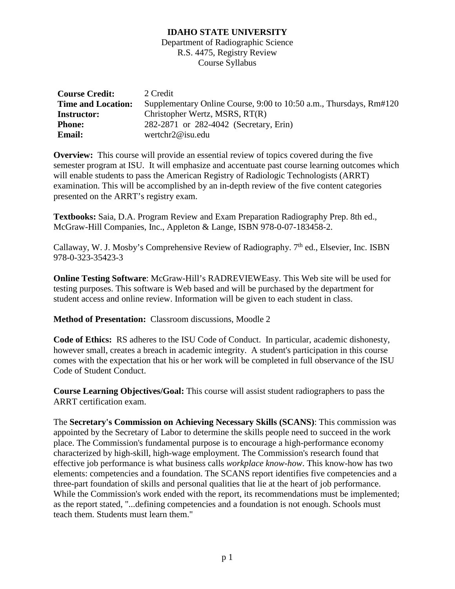Department of Radiographic Science R.S. 4475, Registry Review Course Syllabus

| <b>Course Credit:</b>     | 2 Credit                                                           |  |  |
|---------------------------|--------------------------------------------------------------------|--|--|
| <b>Time and Location:</b> | Supplementary Online Course, 9:00 to 10:50 a.m., Thursdays, Rm#120 |  |  |
| <b>Instructor:</b>        | Christopher Wertz, MSRS, RT(R)                                     |  |  |
| <b>Phone:</b>             | 282-2871 or 282-4042 (Secretary, Erin)                             |  |  |
| <b>Email:</b>             | wertchr $2@$ isu.edu                                               |  |  |

**Overview:** This course will provide an essential review of topics covered during the five semester program at ISU. It will emphasize and accentuate past course learning outcomes which will enable students to pass the American Registry of Radiologic Technologists (ARRT) examination. This will be accomplished by an in-depth review of the five content categories presented on the ARRT's registry exam.

**Textbooks:** Saia, D.A. Program Review and Exam Preparation Radiography Prep. 8th ed., McGraw-Hill Companies, Inc., Appleton & Lange, ISBN 978-0-07-183458-2.

Callaway, W. J. Mosby's Comprehensive Review of Radiography.  $7<sup>th</sup>$  ed., Elsevier, Inc. ISBN 978-0-323-35423-3

**Online Testing Software**: McGraw-Hill's RADREVIEWEasy. This Web site will be used for testing purposes. This software is Web based and will be purchased by the department for student access and online review. Information will be given to each student in class.

**Method of Presentation:** Classroom discussions, Moodle 2

**Code of Ethics:** RS adheres to the ISU Code of Conduct. In particular, academic dishonesty, however small, creates a breach in academic integrity. A student's participation in this course comes with the expectation that his or her work will be completed in full observance of the ISU Code of Student Conduct.

**Course Learning Objectives/Goal:** This course will assist student radiographers to pass the ARRT certification exam.

The **Secretary's Commission on Achieving Necessary Skills (SCANS)**: This commission was appointed by the Secretary of Labor to determine the skills people need to succeed in the work place. The Commission's fundamental purpose is to encourage a high-performance economy characterized by high-skill, high-wage employment. The Commission's research found that effective job performance is what business calls *workplace know-how*. This know-how has two elements: competencies and a foundation. The SCANS report identifies five competencies and a three-part foundation of skills and personal qualities that lie at the heart of job performance. While the Commission's work ended with the report, its recommendations must be implemented; as the report stated, "...defining competencies and a foundation is not enough. Schools must teach them. Students must learn them."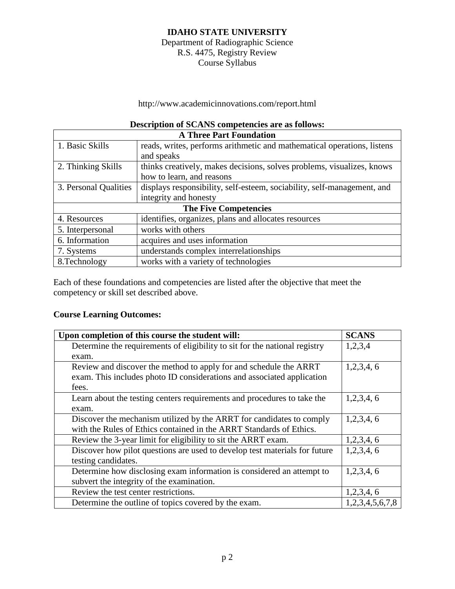Department of Radiographic Science R.S. 4475, Registry Review Course Syllabus

http://www.academicinnovations.com/report.html

## **Description of SCANS competencies are as follows:**

| <b>A Three Part Foundation</b> |                                                                         |  |  |  |
|--------------------------------|-------------------------------------------------------------------------|--|--|--|
| 1. Basic Skills                | reads, writes, performs arithmetic and mathematical operations, listens |  |  |  |
|                                | and speaks                                                              |  |  |  |
| 2. Thinking Skills             | thinks creatively, makes decisions, solves problems, visualizes, knows  |  |  |  |
|                                | how to learn, and reasons                                               |  |  |  |
| 3. Personal Qualities          | displays responsibility, self-esteem, sociability, self-management, and |  |  |  |
|                                | integrity and honesty                                                   |  |  |  |
| <b>The Five Competencies</b>   |                                                                         |  |  |  |
| 4. Resources                   | identifies, organizes, plans and allocates resources                    |  |  |  |
| 5. Interpersonal               | works with others                                                       |  |  |  |
| 6. Information                 | acquires and uses information                                           |  |  |  |
| 7. Systems                     | understands complex interrelationships                                  |  |  |  |
| 8. Technology                  | works with a variety of technologies                                    |  |  |  |

Each of these foundations and competencies are listed after the objective that meet the competency or skill set described above.

### **Course Learning Outcomes:**

| Upon completion of this course the student will:                           | <b>SCANS</b>    |
|----------------------------------------------------------------------------|-----------------|
| Determine the requirements of eligibility to sit for the national registry | 1,2,3,4         |
| exam.                                                                      |                 |
| Review and discover the method to apply for and schedule the ARRT          | 1,2,3,4,6       |
| exam. This includes photo ID considerations and associated application     |                 |
| fees.                                                                      |                 |
| Learn about the testing centers requirements and procedures to take the    | 1,2,3,4,6       |
| exam.                                                                      |                 |
| Discover the mechanism utilized by the ARRT for candidates to comply       | 1,2,3,4,6       |
| with the Rules of Ethics contained in the ARRT Standards of Ethics.        |                 |
| Review the 3-year limit for eligibility to sit the ARRT exam.              | 1,2,3,4,6       |
| Discover how pilot questions are used to develop test materials for future | 1,2,3,4,6       |
| testing candidates.                                                        |                 |
| Determine how disclosing exam information is considered an attempt to      | 1,2,3,4,6       |
| subvert the integrity of the examination.                                  |                 |
| Review the test center restrictions.                                       | 1,2,3,4,6       |
| Determine the outline of topics covered by the exam.                       | 1,2,3,4,5,6,7,8 |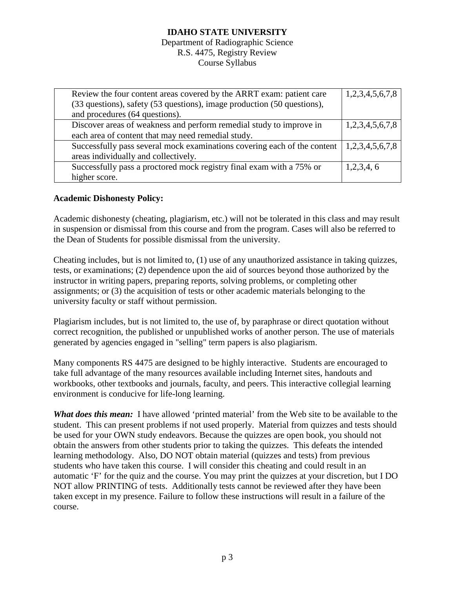Department of Radiographic Science R.S. 4475, Registry Review Course Syllabus

| Review the four content areas covered by the ARRT exam: patient care     | 1,2,3,4,5,6,7,8 |
|--------------------------------------------------------------------------|-----------------|
| (33 questions), safety (53 questions), image production (50 questions),  |                 |
| and procedures (64 questions).                                           |                 |
| Discover areas of weakness and perform remedial study to improve in      | 1,2,3,4,5,6,7,8 |
| each area of content that may need remedial study.                       |                 |
| Successfully pass several mock examinations covering each of the content | 1,2,3,4,5,6,7,8 |
| areas individually and collectively.                                     |                 |
| Successfully pass a proctored mock registry final exam with a 75% or     | 1,2,3,4,6       |
| higher score.                                                            |                 |

## **Academic Dishonesty Policy:**

Academic dishonesty (cheating, plagiarism, etc.) will not be tolerated in this class and may result in suspension or dismissal from this course and from the program. Cases will also be referred to the Dean of Students for possible dismissal from the university.

Cheating includes, but is not limited to, (1) use of any unauthorized assistance in taking quizzes, tests, or examinations; (2) dependence upon the aid of sources beyond those authorized by the instructor in writing papers, preparing reports, solving problems, or completing other assignments; or (3) the acquisition of tests or other academic materials belonging to the university faculty or staff without permission.

Plagiarism includes, but is not limited to, the use of, by paraphrase or direct quotation without correct recognition, the published or unpublished works of another person. The use of materials generated by agencies engaged in "selling" term papers is also plagiarism.

Many components RS 4475 are designed to be highly interactive. Students are encouraged to take full advantage of the many resources available including Internet sites, handouts and workbooks, other textbooks and journals, faculty, and peers. This interactive collegial learning environment is conducive for life-long learning.

*What does this mean:* I have allowed 'printed material' from the Web site to be available to the student. This can present problems if not used properly. Material from quizzes and tests should be used for your OWN study endeavors. Because the quizzes are open book, you should not obtain the answers from other students prior to taking the quizzes. This defeats the intended learning methodology. Also, DO NOT obtain material (quizzes and tests) from previous students who have taken this course. I will consider this cheating and could result in an automatic 'F' for the quiz and the course. You may print the quizzes at your discretion, but I DO NOT allow PRINTING of tests. Additionally tests cannot be reviewed after they have been taken except in my presence. Failure to follow these instructions will result in a failure of the course.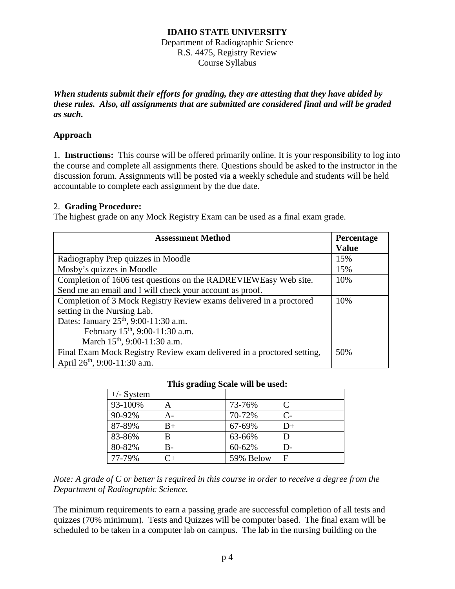Department of Radiographic Science R.S. 4475, Registry Review Course Syllabus

*When students submit their efforts for grading, they are attesting that they have abided by these rules. Also, all assignments that are submitted are considered final and will be graded as such.*

## **Approach**

1. **Instructions:** This course will be offered primarily online. It is your responsibility to log into the course and complete all assignments there. Questions should be asked to the instructor in the discussion forum. Assignments will be posted via a weekly schedule and students will be held accountable to complete each assignment by the due date.

### 2. **Grading Procedure:**

The highest grade on any Mock Registry Exam can be used as a final exam grade.

| <b>Assessment Method</b>                                               | <b>Percentage</b> |
|------------------------------------------------------------------------|-------------------|
|                                                                        | <b>Value</b>      |
| Radiography Prep quizzes in Moodle                                     | 15%               |
| Mosby's quizzes in Moodle                                              | 15%               |
| Completion of 1606 test questions on the RADREVIEWEasy Web site.       | 10%               |
| Send me an email and I will check your account as proof.               |                   |
| Completion of 3 Mock Registry Review exams delivered in a proctored    | 10%               |
| setting in the Nursing Lab.                                            |                   |
| Dates: January 25 <sup>th</sup> , 9:00-11:30 a.m.                      |                   |
| February 15 <sup>th</sup> , 9:00-11:30 a.m.                            |                   |
| March 15 <sup>th</sup> , 9:00-11:30 a.m.                               |                   |
| Final Exam Mock Registry Review exam delivered in a proctored setting, | 50%               |
| April 26 <sup>th</sup> , 9:00-11:30 a.m.                               |                   |

#### **This grading Scale will be used:**

| $+/-$ System |      |           |               |
|--------------|------|-----------|---------------|
| 93-100%      | А    | 73-76%    |               |
| 90-92%       | А-   | 70-72%    | $\mathcal{C}$ |
| 87-89%       | $B+$ | 67-69%    | $D+$          |
| 83-86%       | B    | 63-66%    |               |
| 80-82%       | B-   | 60-62%    | D-            |
| 77-79%       | ∼∓   | 59% Below | F             |

*Note: A grade of C or better is required in this course in order to receive a degree from the Department of Radiographic Science.*

The minimum requirements to earn a passing grade are successful completion of all tests and quizzes (70% minimum). Tests and Quizzes will be computer based. The final exam will be scheduled to be taken in a computer lab on campus. The lab in the nursing building on the